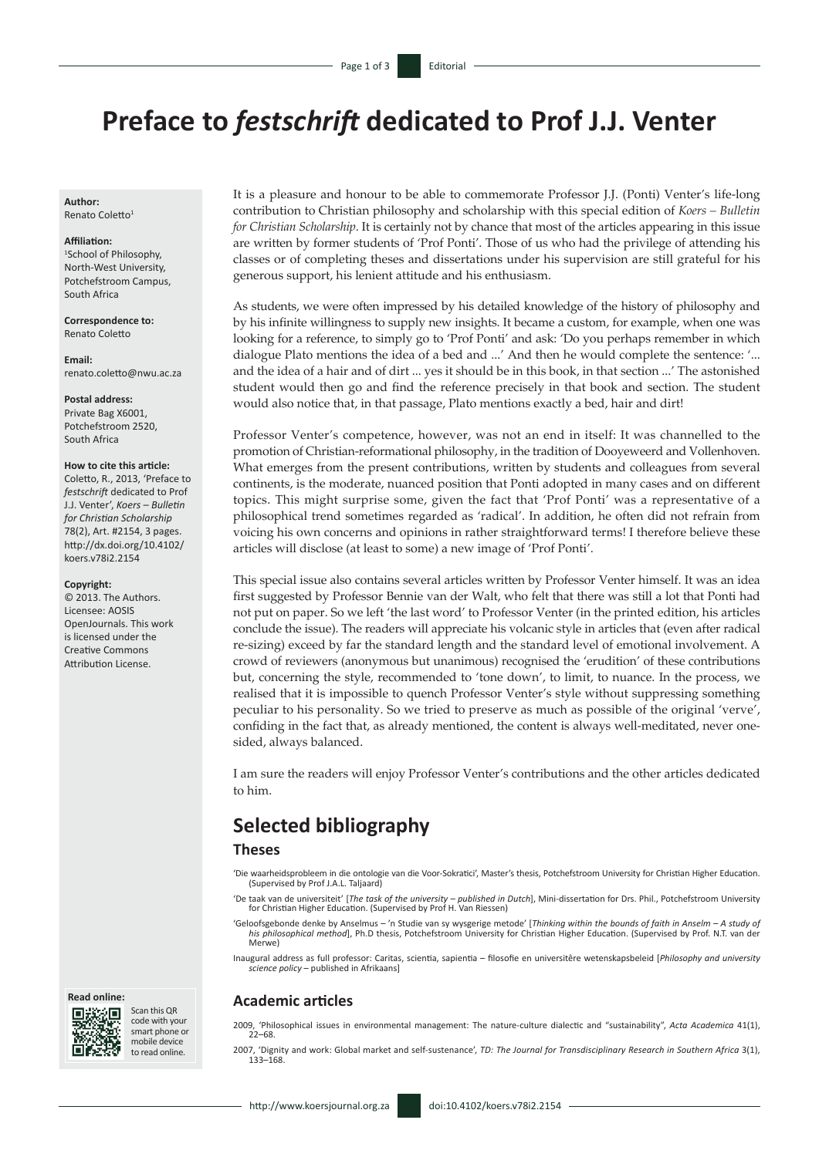# **Preface to** *festschrift* **dedicated to Prof J.J. Venter**

**Author:** Renato Coletto1

#### **Affiliation:**

1 School of Philosophy, North-West University, Potchefstroom Campus, South Africa

**Correspondence to:** Renato Coletto

**Email:** [renato.coletto@nwu.ac.za](mailto:renato.coletto@nwu.ac.za)

**Postal address:** Private Bag X6001, Potchefstroom 2520, South Africa

#### **How to cite this article:**

Coletto, R., 2013, 'Preface to *festschrift* dedicated to Prof J.J. Venter', *Koers – Bulletin for Christian Scholarship* 78(2), Art. #2154, 3 pages. [http://dx.doi.org/10.4102/](http://dx.doi.org/10.4102/koers.v78i2.2154) [koers.v78i2.2154](http://dx.doi.org/10.4102/koers.v78i2.2154)

#### **Copyright:**

© 2013. The Authors. Licensee: AOSIS OpenJournals. This work is licensed under the Creative Commons Attribution License.

#### **Read online:**



Scan this QR code with your smart phone or mobile device to read online.

It is a pleasure and honour to be able to commemorate Professor J.J. (Ponti) Venter's life-long contribution to Christian philosophy and scholarship with this special edition of *Koers – Bulletin for Christian Scholarship*. It is certainly not by chance that most of the articles appearing in this issue are written by former students of 'Prof Ponti'. Those of us who had the privilege of attending his classes or of completing theses and dissertations under his supervision are still grateful for his generous support, his lenient attitude and his enthusiasm.

As students, we were often impressed by his detailed knowledge of the history of philosophy and by his infinite willingness to supply new insights. It became a custom, for example, when one was looking for a reference, to simply go to 'Prof Ponti' and ask: 'Do you perhaps remember in which dialogue Plato mentions the idea of a bed and ...' And then he would complete the sentence: '... and the idea of a hair and of dirt ... yes it should be in this book, in that section ...' The astonished student would then go and find the reference precisely in that book and section. The student would also notice that, in that passage, Plato mentions exactly a bed, hair and dirt!

Professor Venter's competence, however, was not an end in itself: It was channelled to the promotion of Christian-reformational philosophy, in the tradition of Dooyeweerd and Vollenhoven. What emerges from the present contributions, written by students and colleagues from several continents, is the moderate, nuanced position that Ponti adopted in many cases and on different topics. This might surprise some, given the fact that 'Prof Ponti' was a representative of a philosophical trend sometimes regarded as 'radical'. In addition, he often did not refrain from voicing his own concerns and opinions in rather straightforward terms! I therefore believe these articles will disclose (at least to some) a new image of 'Prof Ponti'.

This special issue also contains several articles written by Professor Venter himself. It was an idea first suggested by Professor Bennie van der Walt, who felt that there was still a lot that Ponti had not put on paper. So we left 'the last word' to Professor Venter (in the printed edition, his articles conclude the issue). The readers will appreciate his volcanic style in articles that (even after radical re-sizing) exceed by far the standard length and the standard level of emotional involvement. A crowd of reviewers (anonymous but unanimous) recognised the 'erudition' of these contributions but, concerning the style, recommended to 'tone down', to limit, to nuance. In the process, we realised that it is impossible to quench Professor Venter's style without suppressing something peculiar to his personality. So we tried to preserve as much as possible of the original 'verve', confiding in the fact that, as already mentioned, the content is always well-meditated, never onesided, always balanced.

I am sure the readers will enjoy Professor Venter's contributions and the other articles dedicated to him.

## **Selected bibliography**

## **Theses**

'Die waarheidsprobleem in die ontologie van die Voor-Sokratici', Master's thesis, Potchefstroom University for Christian Higher Education. (Supervised by Prof J.A.L. Taljaard)

'De taak van de universiteit' [*The task of the university – published in Dutch*], Mini-dissertation for Drs. Phil., Potchefstroom University for Christian Higher Education. (Supervised by Prof H. Van Riessen)

'Geloofsgebonde denke by Anselmus - 'n Studie van sy wysgerige metode' [Thinking within the bounds of faith in Anselm - A study of<br>his philosophical method], Ph.D thesis, Potchefstroom University for Christian Higher Educa Merwe)

Inaugural address as full professor: Caritas, scientia, sapientia – filosofie en universitêre wetenskapsbeleid [*Philosophy and university science policy* – published in Afrikaans]

## **Academic articles**

2009, 'Philosophical issues in environmental management: The nature-culture dialectic and "sustainability", *Acta Academica* 41(1), 22–68.

2007, 'Dignity and work: Global market and self-sustenance', *TD: The Journal for Transdisciplinary Research in Southern Africa* 3(1), 133–168.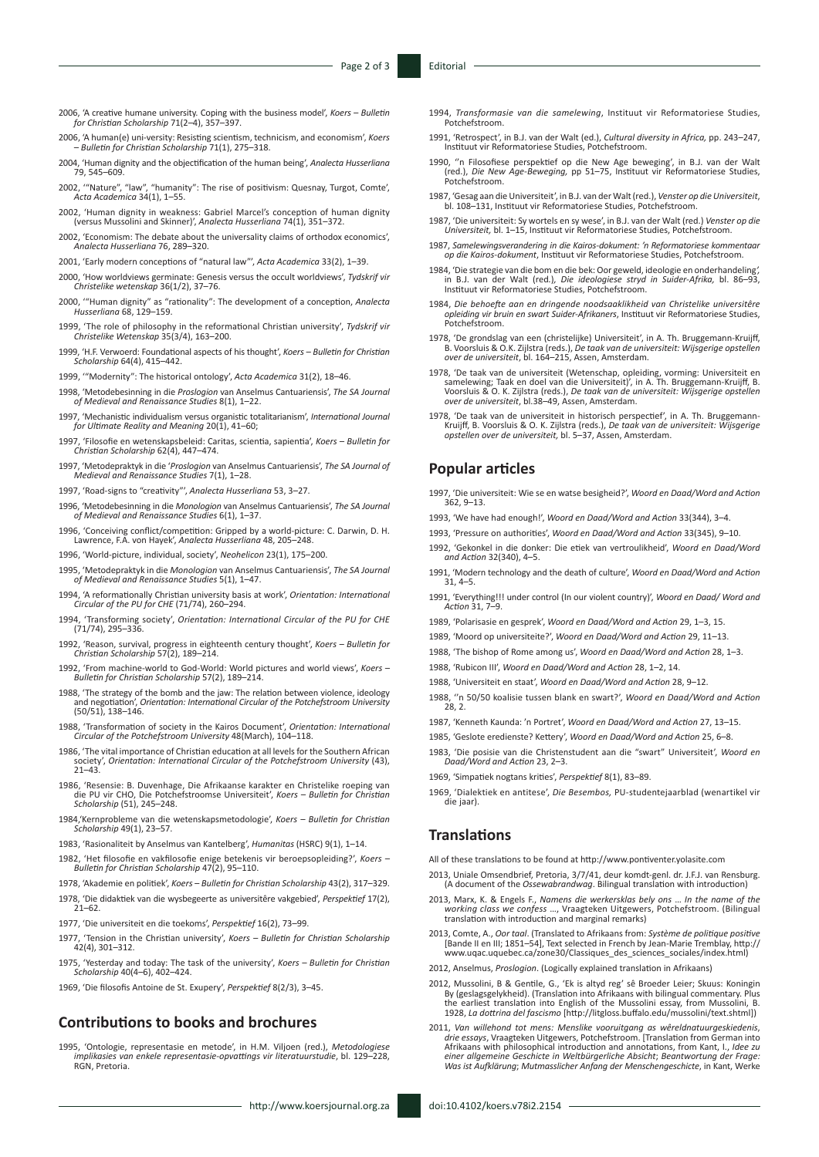- 2006, 'A creative humane university. Coping with the business model', *Koers Bulletin for Christian Scholarship* 71(2–4), 357–397.
- 2006, 'A human(e) uni-versity: Resisting scientism, technicism, and economism', *Koers Bulletin for Christian Scholarship* 71(1), 275–318.
- 2004, 'Human dignity and the objectification of the human being', *Analecta Husserliana* 79, 545–609.
- 2002, '"Nature", "law", "humanity": The rise of positivism: Quesnay, Turgot, Comte', *Acta Academica* 34(1), 1–55.
- 2002, 'Human dignity in weakness: Gabriel Marcel's conception of human dignity (versus Mussolini and Skinner)', *Analecta Husserliana* 74(1), 351–372.
- 2002, 'Economism: The debate about the universality claims of orthodox economics', *Analecta Husserliana* 76, 289–320.
- 2001, 'Early modern conceptions of "natural law"', *Acta Academica* 33(2), 1–39.
- 2000, 'How worldviews germinate: Genesis versus the occult worldviews', *Tydskrif vir Christelike wetenskap* 36(1/2), 37–76.
- 2000, '"Human dignity" as "rationality": The development of a conception, *Analecta Husserliana* 68, 129–159.
- 1999, 'The role of philosophy in the reformational Christian university', *Tydskrif vir Christelike Wetenskap* 35(3/4), 163–200.
- 1999, 'H.F. Verwoerd: Foundational aspects of his thought', *Koers Bulletin for Christian Scholarship* 64(4), 415–442.
- 1999, '"Modernity": The historical ontology', *Acta Academica* 31(2), 18–46.
- 1998, 'Metodebesinning in die *Proslogion* van Anselmus Cantuariensis', *The SA Journal of Medieval and Renaissance Studies* 8(1), 1–22.
- 1997, 'Mechanistic individualism versus organistic totalitarianism', *International Journal for Ultimate Reality and Meaning* 20(1), 41–60;
- 1997, 'Filosofie en wetenskapsbeleid: Caritas, scientia, sapientia', *Koers Bulletin for Christian Scholarship* 62(4), 447–474.
- 1997, 'Metodepraktyk in die '*Proslogion* van Anselmus Cantuariensis', *The SA Journal of Medieval and Renaissance Studies* 7(1), 1–28.
- 1997, 'Road-signs to "creativity"', *Analecta Husserliana* 53, 3–27.
- 1996, 'Metodebesinning in die *Monologion* van Anselmus Cantuariensis', *The SA Journal of Medieval and Renaissance Studies* 6(1), 1–37.
- 1996, 'Conceiving conflict/competition: Gripped by a world-picture: C. Darwin, D. H. Lawrence, F.A. von Hayek', *Analecta Husserliana* 48, 205–248.
- 1996, 'World-picture, individual, society', *Neohelicon* 23(1), 175–200.
- 1995, 'Metodepraktyk in die *Monologion* van Anselmus Cantuariensis', *The SA Journal of Medieval and Renaissance Studies* 5(1), 1–47.
- 1994, 'A reformationally Christian university basis at work', *Orientation: International Circular of the PU for CHE* (71/74), 260–294.
- 1994, 'Transforming society', *Orientation: International Circular of the PU for CHE* (71/74), 295–336.
- 1992, 'Reason, survival, progress in eighteenth century thought', *Koers Bulletin for Christian Scholarship* 57(2), 189–214.
- 1992, 'From machine-world to God-World: World pictures and world views', *Koers Bulletin for Christian Scholarship* 57(2), 189–214.
- 1988, 'The strategy of the bomb and the jaw: The relation between violence, ideology and negotiation', *Orientation: International Circular of the Potchefstroom University* (50/51), 138–146.
- 1988, 'Transformation of society in the Kairos Document', *Orientation: International Circular of the Potchefstroom University* 48(March), 104–118.
- 1986, 'The vital importance of Christian education at all levels for the Southern African society', *Orientation: International Circular of the Potchefstroom University* (43), 21–43.
- 1986, 'Resensie: B. Duvenhage, Die Afrikaanse karakter en Christelike roeping van die PU vir CHO, Die Potchefstroomse Universiteit', *Koers Bulletin for Christian Scholarship* (51), 245–248.
- 1984,'Kernprobleme van die wetenskapsmetodologie', *Koers Bulletin for Christian Scholarship* 49(1), 23–57.
- 1983, 'Rasionaliteit by Anselmus van Kantelberg', *Humanitas* (HSRC) 9(1), 1–14.
- 1982, 'Het filosofie en vakfilosofie enige betekenis vir beroepsopleiding?', *Koers Bulletin for Christian Scholarship* 47(2), 95–110.
- 1978, 'Akademie en politiek', *Koers Bulletin for Christian Scholarship* 43(2), 317–329.
- 1978, 'Die didaktiek van die wysbegeerte as universitêre vakgebied', *Perspektief* 17(2),  $21 - 62$ .
- 1977, 'Die universiteit en die toekoms', *Perspektief* 16(2), 73–99.
- 1977, 'Tension in the Christian university', *Koers Bulletin for Christian Scholarship* 42(4), 301–312.
- 1975, 'Yesterday and today: The task of the university', *Koers Bulletin for Christian Scholarship* 40(4–6), 402–424.
- 1969, 'Die filosofis Antoine de St. Exupery', *Perspektief* 8(2/3), 3–45.

## **Contributions to books and brochures**

1995, 'Ontologie, representasie en metode', in H.M. Viljoen (red.), *Metodologiese implikasies van enkele representasie-opvattings vir literatuurstudie*, bl. 129–228, RGN, Pretoria.

- 1994, *Transformasie van die samelewing*, Instituut vir Reformatoriese Studies, Potchefstroom.
- 1991, 'Retrospect', in B.J. van der Walt (ed.), *Cultural diversity in Africa,* pp. 243–247, Instituut vir Reformatoriese Studies, Potchefstroom.
- 1990, ''n Filosofiese perspektief op die New Age beweging', in B.J. van der Walt (red.), *Die New Age-Beweging,* pp 51–75, Instituut vir Reformatoriese Studies, Potchefstroom.
- 1987, 'Gesag aan die Universiteit', in B.J. van der Walt (red.), *Venster op die Universiteit*, bl. 108–131, Instituut vir Reformatoriese Studies, Potchefstroom.
- 1987, 'Die universiteit: Sy wortels en sy wese', in B.J. van der Walt (red.) *Venster op die Universiteit,* bl. 1–15, Instituut vir Reformatoriese Studies, Potchefstroom.
- 1987, *Samelewingsverandering in die Kairos-dokument: 'n Reformatoriese kommentaar op die Kairos-dokument*, Instituut vir Reformatoriese Studies, Potchefstroom.
- 1984, 'Die strategie van die bom en die bek: Oor geweld, ideologie en onderhandeling*',* in B.J. van der Walt (red*.*)*, Die ideologiese stryd in Suider-Afrika,* bl. 86–93, Instituut vir Reformatoriese Studies, Potchefstroom.
- 1984, *Die behoefte aan en dringende noodsaaklikheid van Christelike universitêre opleiding vir bruin en swart Suider-Afrikaners*, Instituut vir Reformatoriese Studies, Potchefstroom.
- 1978, 'De grondslag van een (christelijke) Universiteit', in A. Th. Bruggemann-Kruijff,<br>B. Voorsluis & O.K. Zijlstra (reds.), De taak van de universiteit: Wijsgerige opstellen<br>over de universiteit, bl. 164–215, Assen, Amst
- 1978, 'De taak van de universiteit (Wetenschap, opleiding, vorming: Universiteit en samelewing; Taak en doel van die Universiteit', in A. Th. Bruggemann-Kruijff, B. Voorsluis & O. K. Zijlstra (reds.), De taak van de univer
- 1978, 'De taak van de universiteit in historisch perspectief', in A. Th. Bruggemann-Kruijff, B. Voorsluis & O. K. Zijlstra (reds.), *De taak van de universiteit: Wijsgerige opstellen over de universiteit,* bl. 5–37, Assen, Amsterdam.

#### **Popular articles**

- 1997, 'Die universiteit: Wie se en watse besigheid?', *Woord en Daad/Word and Action* 362, 9–13.
- 1993, 'We have had enough!', *Woord en Daad/Word and Action* 33(344), 3–4.
- 1993, 'Pressure on authorities', *Woord en Daad/Word and Action* 33(345), 9–10.
- 1992, 'Gekonkel in die donker: Die etiek van vertroulikheid', *Woord en Daad/Word and Action* 32(340), 4–5.
- 1991, 'Modern technology and the death of culture', *Woord en Daad/Word and Action*  $31, 4-5.$
- 1991, 'Everything!!! under control (In our violent country)', *Woord en Daad/ Word and Action* 31, 7–9.
- 1989, 'Polarisasie en gesprek', *Woord en Daad/Word and Action* 29, 1–3, 15.
- 1989, 'Moord op universiteite?', *Woord en Daad/Word and Action* 29, 11–13.
- 1988, 'The bishop of Rome among us', *Woord en Daad/Word and Action* 28, 1–3.
- 1988, 'Rubicon III', *Woord en Daad/Word and Action* 28, 1–2, 14.
- 1988, 'Universiteit en staat', *Woord en Daad/Word and Action* 28, 9–12.
- 1988, ''n 50/50 koalisie tussen blank en swart?', *Woord en Daad/Word and Action*  $28, 2.$
- 1987, 'Kenneth Kaunda: 'n Portret', *Woord en Daad/Word and Action* 27, 13–15.
- 1985, 'Geslote eredienste? Kettery', *Woord en Daad/Word and Action* 25, 6–8.
- 1983, 'Die posisie van die Christenstudent aan die "swart" Universiteit', *Woord en Daad/Word and Action* 23, 2–3.
- 1969, 'Simpatiek nogtans krities', *Perspektief* 8(1), 83–89.
- 1969, 'Dialektiek en antitese', *Die Besembos,* PU-studentejaarblad (wenartikel vir die jaar).

#### **Translations**

All of these translations to be found at<http://www.pontiventer.yolasite.com>

- 2013, Uniale Omsendbrief, Pretoria, 3/7/41, deur komdt-genl. dr. J.F.J. van Rensburg. (A document of the *Ossewabrandwag*. Bilingual translation with introduction)
- 2013, Marx, K. & Engels F., *Namens die werkersklas bely ons* … *In the name of the working class we confess* …, Vraagteken Uitgewers, Potchefstroom. (Bilingual translation with introduction and marginal remarks)
- 2013, Comte, A., *Oor taal*. (Translated to Afrikaans from: *Système de politique positive* [Bande II en III; 1851–54], Text selected in French by Jean-Marie Tremblay, [http://](http://www.uqac.uquebec.ca/zone30/Classiques_des_sciences_sociales/index.html) [www.uqac.uquebec.ca/zone30/Classiques\\_des\\_sciences\\_sociales/index.html](http://www.uqac.uquebec.ca/zone30/Classiques_des_sciences_sociales/index.html))
- 2012, Anselmus, *Proslogion*. (Logically explained translation in Afrikaans)
- 2012, Mussolini, B & Gentile, G., 'Ek is altyd reg' sê Broeder Leier; Skuus: Koningin By (geslagsgelykheid). (Translation into Afrikaans with bilingual commentary. Plus the earliest translation into English of the Mussolini essay, from Mussolini, B. 1928, *La dottrina del fascismo* [[http://litgloss.buffalo.edu/mussolini/text.shtml\]](http://litgloss.buffalo.edu/mussolini/text.shtml))
- 2011, Van willehond tot mens: Menslike vooruitgang as wêreldnatuurgeskiedenis,<br>drie essays, Vraagteken Uitgewers, Potchefstroom. [Translation from German into<br>Afrikaans with philosophical introduction and annotations, from *Was ist Aufklärung*; *Mutmasslicher Anfang der Menschengeschicte*, in Kant, Werke